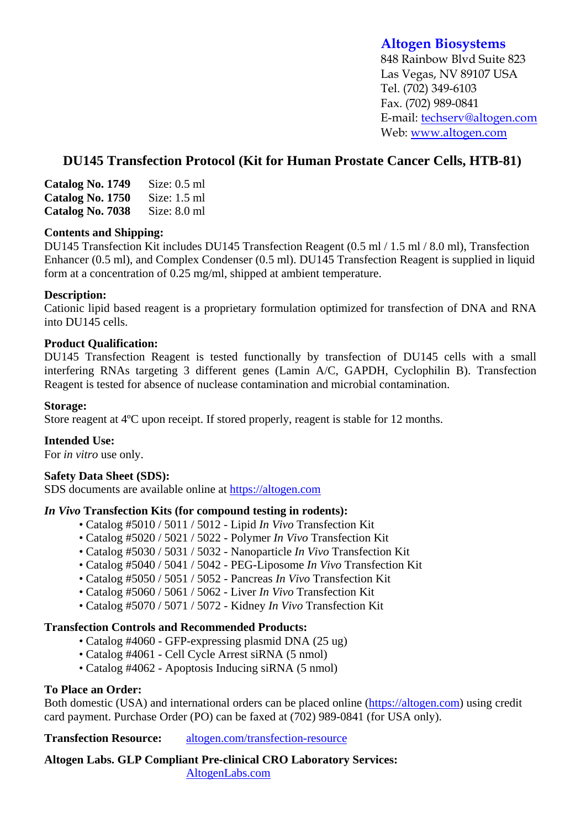# **Altogen Biosystems**

848 Rainbow Blvd Suite 823 Las Vegas, NV 89107 USA Tel. (702) 349-6103 Fax. (702) 989-0841 E-mail: techserv@altogen.com Web: www.altogen.com

# **DU145 Transfection Protocol (Kit for Human Prostate Cancer Cells, HTB-81)**

| Catalog No. 1749 | Size: $0.5$ ml |
|------------------|----------------|
| Catalog No. 1750 | Size: $1.5$ ml |
| Catalog No. 7038 | Size: $8.0$ ml |

#### **Contents and Shipping:**

DU145 Transfection Kit includes DU145 Transfection Reagent (0.5 ml / 1.5 ml / 8.0 ml), Transfection Enhancer (0.5 ml), and Complex Condenser (0.5 ml). DU145 Transfection Reagent is supplied in liquid form at a concentration of 0.25 mg/ml, shipped at ambient temperature.

### **Description:**

Cationic lipid based reagent is a proprietary formulation optimized for transfection of DNA and RNA into DU145 cells.

### **Product Qualification:**

DU145 Transfection Reagent is tested functionally by transfection of DU145 cells with a small interfering RNAs targeting 3 different genes (Lamin A/C, GAPDH, Cyclophilin B). Transfection Reagent is tested for absence of nuclease contamination and microbial contamination.

#### **Storage:**

Store reagent at 4ºC upon receipt. If stored properly, reagent is stable for 12 months.

#### **Intended Use:**

For *in vitro* use only.

#### **Safety Data Sheet (SDS):**

SDS documents are available online at https://altogen.com

#### *In Vivo* **Transfection Kits (for compound testing in rodents):**

- Catalog #5010 / 5011 / 5012 Lipid *In Vivo* Transfection Kit
- Catalog #5020 / 5021 / 5022 Polymer *In Vivo* Transfection Kit
- Catalog #5030 / 5031 / 5032 Nanoparticle *In Vivo* Transfection Kit
- Catalog #5040 / 5041 / 5042 PEG-Liposome *In Vivo* Transfection Kit
- Catalog #5050 / 5051 / 5052 Pancreas *In Vivo* Transfection Kit
- Catalog #5060 / 5061 / 5062 Liver *In Vivo* Transfection Kit
- Catalog #5070 / 5071 / 5072 Kidney *In Vivo* Transfection Kit

## **Transfection Controls and Recommended Products:**

- Catalog #4060 GFP-expressing plasmid DNA (25 ug)
- Catalog #4061 Cell Cycle Arrest siRNA (5 nmol)
- Catalog #4062 Apoptosis Inducing siRNA (5 nmol)

## **To Place an Order:**

Both domestic (USA) and international orders can be placed online (https://altogen.com) using credit card payment. Purchase Order (PO) can be faxed at (702) 989-0841 (for USA only).

**Transfection Resource:** altogen.com/transfection-resource

**Altogen Labs. GLP Compliant Pre-clinical CRO Laboratory Services:**  AltogenLabs.com